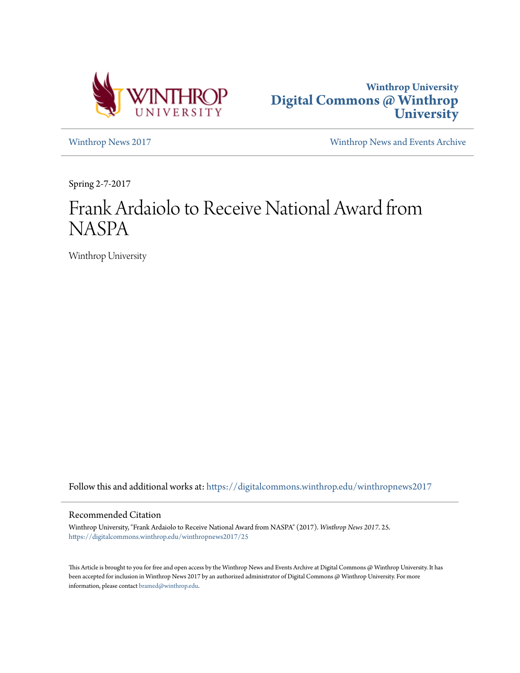



[Winthrop News 2017](https://digitalcommons.winthrop.edu/winthropnews2017?utm_source=digitalcommons.winthrop.edu%2Fwinthropnews2017%2F25&utm_medium=PDF&utm_campaign=PDFCoverPages) [Winthrop News and Events Archive](https://digitalcommons.winthrop.edu/winthropnewsarchives?utm_source=digitalcommons.winthrop.edu%2Fwinthropnews2017%2F25&utm_medium=PDF&utm_campaign=PDFCoverPages)

Spring 2-7-2017

## Frank Ardaiolo to Receive National Award from NASPA

Winthrop University

Follow this and additional works at: [https://digitalcommons.winthrop.edu/winthropnews2017](https://digitalcommons.winthrop.edu/winthropnews2017?utm_source=digitalcommons.winthrop.edu%2Fwinthropnews2017%2F25&utm_medium=PDF&utm_campaign=PDFCoverPages)

### Recommended Citation

Winthrop University, "Frank Ardaiolo to Receive National Award from NASPA" (2017). *Winthrop News 2017*. 25. [https://digitalcommons.winthrop.edu/winthropnews2017/25](https://digitalcommons.winthrop.edu/winthropnews2017/25?utm_source=digitalcommons.winthrop.edu%2Fwinthropnews2017%2F25&utm_medium=PDF&utm_campaign=PDFCoverPages)

This Article is brought to you for free and open access by the Winthrop News and Events Archive at Digital Commons @ Winthrop University. It has been accepted for inclusion in Winthrop News 2017 by an authorized administrator of Digital Commons @ Winthrop University. For more information, please contact [bramed@winthrop.edu](mailto:bramed@winthrop.edu).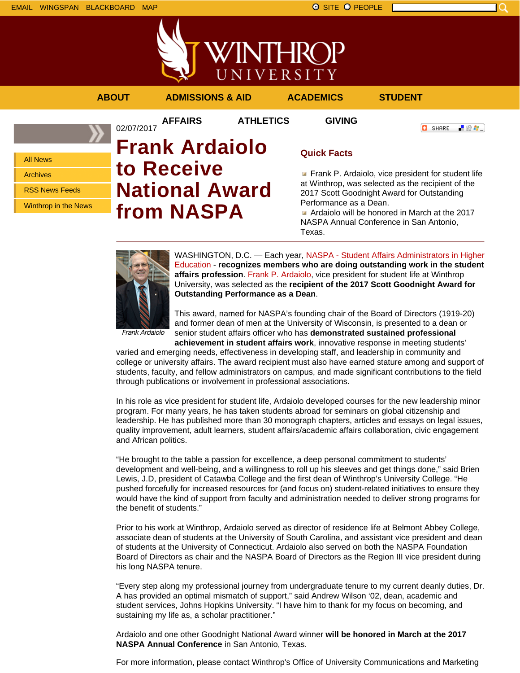



**AFFAIRS ATHLETICS GIVING**

02/07/2017

**ABOUT ADMISSIONS & AID ACADEMICS STUDENT**

**O** SHARE

上没身。

All News Archives RSS News Feeds Winthrop in the News

# **Frank Ardaiolo to Receive National Award from NASPA**

### **Quick Facts**

**Figure 1** Frank P. Ardaiolo, vice president for student life at Winthrop, was selected as the recipient of the 2017 Scott Goodnight Award for Outstanding Performance as a Dean.

Ardaiolo will be honored in March at the 2017 NASPA Annual Conference in San Antonio, Texas.



WASHINGTON, D.C. — Each year, NASPA - Student Affairs Administrators in Higher Education - **recognizes members who are doing outstanding work in the student affairs profession**. Frank P. Ardaiolo, vice president for student life at Winthrop University, was selected as the **recipient of the 2017 Scott Goodnight Award for Outstanding Performance as a Dean**.

Frank Ardaiolo

This award, named for NASPA's founding chair of the Board of Directors (1919-20) and former dean of men at the University of Wisconsin, is presented to a dean or senior student affairs officer who has **demonstrated sustained professional achievement in student affairs work**, innovative response in meeting students'

varied and emerging needs, effectiveness in developing staff, and leadership in community and college or university affairs. The award recipient must also have earned stature among and support of students, faculty, and fellow administrators on campus, and made significant contributions to the field through publications or involvement in professional associations.

In his role as vice president for student life, Ardaiolo developed courses for the new leadership minor program. For many years, he has taken students abroad for seminars on global citizenship and leadership. He has published more than 30 monograph chapters, articles and essays on legal issues, quality improvement, adult learners, student affairs/academic affairs collaboration, civic engagement and African politics.

"He brought to the table a passion for excellence, a deep personal commitment to students' development and well-being, and a willingness to roll up his sleeves and get things done," said Brien Lewis, J.D, president of Catawba College and the first dean of Winthrop's University College. "He pushed forcefully for increased resources for (and focus on) student-related initiatives to ensure they would have the kind of support from faculty and administration needed to deliver strong programs for the benefit of students."

Prior to his work at Winthrop, Ardaiolo served as director of residence life at Belmont Abbey College, associate dean of students at the University of South Carolina, and assistant vice president and dean of students at the University of Connecticut. Ardaiolo also served on both the NASPA Foundation Board of Directors as chair and the NASPA Board of Directors as the Region III vice president during his long NASPA tenure.

"Every step along my professional journey from undergraduate tenure to my current deanly duties, Dr. A has provided an optimal mismatch of support," said Andrew Wilson '02, dean, academic and student services, Johns Hopkins University. "I have him to thank for my focus on becoming, and sustaining my life as, a scholar practitioner."

Ardaiolo and one other Goodnight National Award winner **will be honored in March at the 2017 NASPA Annual Conference** in San Antonio, Texas.

For more information, please contact Winthrop's Office of University Communications and Marketing